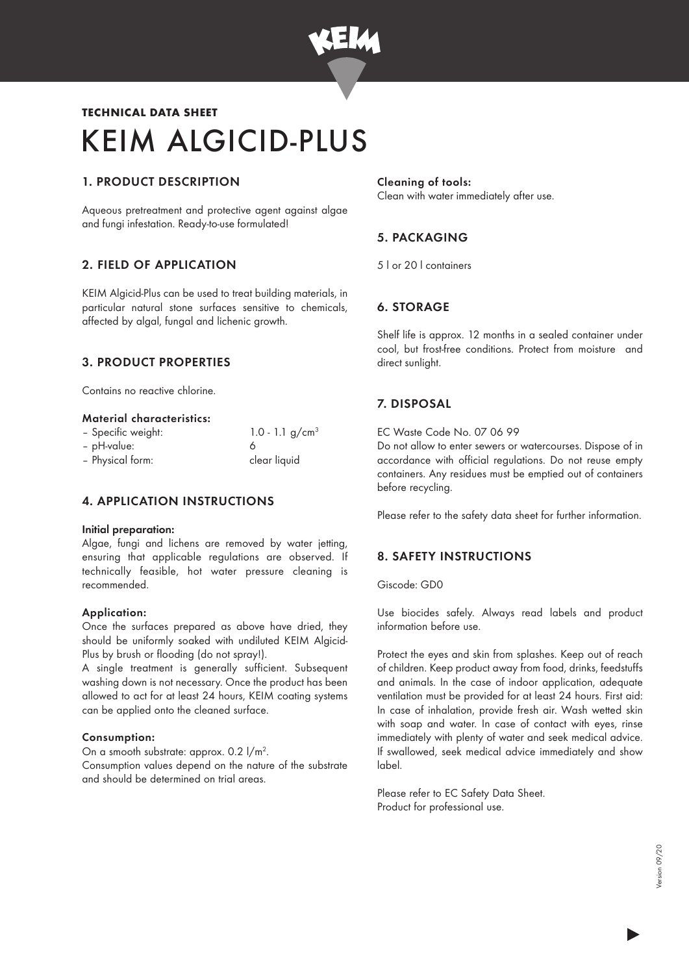

# KEIM ALGICID-PLUS TECHNICAL DATA SHEET

# 1. PRODUCT DESCRIPTION

Aqueous pretreatment and protective agent against algae and fungi infestation. Ready-to-use formulated!

# 2. FIELD OF APPLICATION

KEIM Algicid-Plus can be used to treat building materials, in particular natural stone surfaces sensitive to chemicals, affected by algal, fungal and lichenic growth.

# 3. PRODUCT PROPERTIES

Contains no reactive chlorine.

#### Material characteristics:

| - Specific weight: | 1.0 - 1.1 $g/cm^{3}$ |
|--------------------|----------------------|
| - pH-value:        |                      |
| - Physical form:   | clear liquid         |

## 4. APPLICATION INSTRUCTIONS

#### Initial preparation:

Algae, fungi and lichens are removed by water jetting, ensuring that applicable regulations are observed. If technically feasible, hot water pressure cleaning is recommended.

#### Application:

Once the surfaces prepared as above have dried, they should be uniformly soaked with undiluted KEIM Algicid-Plus by brush or flooding (do not spray!).

A single treatment is generally sufficient. Subsequent washing down is not necessary. Once the product has been allowed to act for at least 24 hours, KEIM coating systems can be applied onto the cleaned surface.

#### Consumption:

On a smooth substrate: approx. 0.2 l/m<sup>2</sup>.

Consumption values depend on the nature of the substrate and should be determined on trial areas.

#### Cleaning of tools: Clean with water immediately after use.

# 5. PACKAGING

5 l or 20 l containers

# 6. STORAGE

Shelf life is approx. 12 months in a sealed container under cool, but frost-free conditions. Protect from moisture and direct sunlight.

# 7. DISPOSAL

EC Waste Code No. 07 06 99

Do not allow to enter sewers or watercourses. Dispose of in accordance with official regulations. Do not reuse empty containers. Any residues must be emptied out of containers before recycling.

Please refer to the safety data sheet for further information.

## 8. SAFETY INSTRUCTIONS

Giscode: GD0

Use biocides safely. Always read labels and product information before use.

Protect the eyes and skin from splashes. Keep out of reach of children. Keep product away from food, drinks, feedstuffs and animals. In the case of indoor application, adequate ventilation must be provided for at least 24 hours. First aid: In case of inhalation, provide fresh air. Wash wetted skin with soap and water. In case of contact with eyes, rinse immediately with plenty of water and seek medical advice. If swallowed, seek medical advice immediately and show label.

Please refer to EC Safety Data Sheet. Product for professional use.